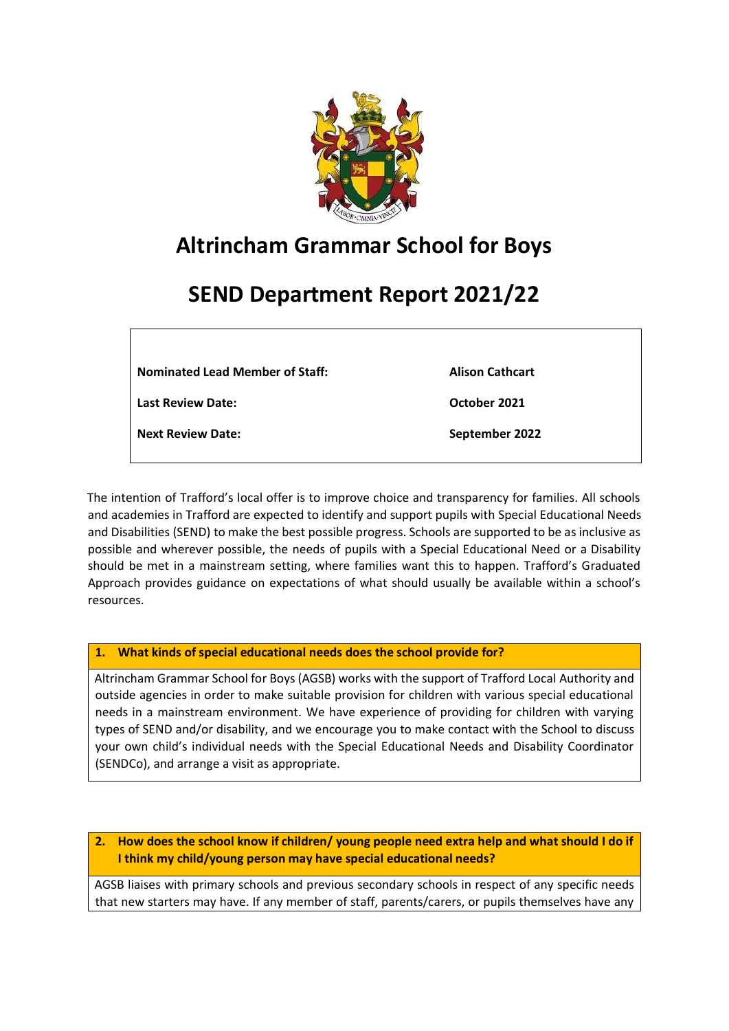

# **Altrincham Grammar School for Boys**

# **SEND Department Report 2021/22**

**Nominated Lead Member of Staff:** 

**Alison Cathcart**

**October 2021**

**Last Review Date:** 

**Next Review Date:** 

**September 2022**

The intention of Trafford's local offer is to improve choice and transparency for families. All schools and academies in Trafford are expected to identify and support pupils with Special Educational Needs and Disabilities (SEND) to make the best possible progress. Schools are supported to be as inclusive as possible and wherever possible, the needs of pupils with a Special Educational Need or a Disability should be met in a mainstream setting, where families want this to happen. Trafford's Graduated Approach provides guidance on expectations of what should usually be available within a school's resources.

**1. What kinds of special educational needs does the school provide for?** 

Altrincham Grammar School for Boys (AGSB) works with the support of Trafford Local Authority and outside agencies in order to make suitable provision for children with various special educational needs in a mainstream environment. We have experience of providing for children with varying types of SEND and/or disability, and we encourage you to make contact with the School to discuss your own child's individual needs with the Special Educational Needs and Disability Coordinator (SENDCo), and arrange a visit as appropriate.

**2. How does the school know if children/ young people need extra help and what should I do if I think my child/young person may have special educational needs?** 

AGSB liaises with primary schools and previous secondary schools in respect of any specific needs that new starters may have. If any member of staff, parents/carers, or pupils themselves have any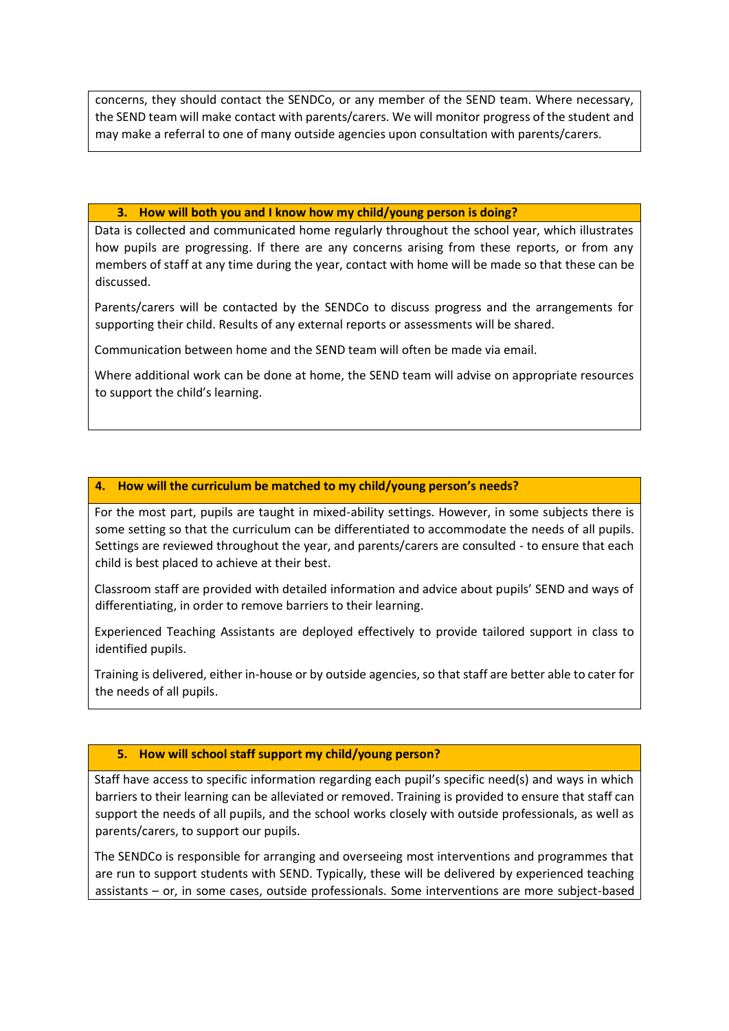concerns, they should contact the SENDCo, or any member of the SEND team. Where necessary, the SEND team will make contact with parents/carers. We will monitor progress of the student and may make a referral to one of many outside agencies upon consultation with parents/carers.

#### **3. How will both you and I know how my child/young person is doing?**

Data is collected and communicated home regularly throughout the school year, which illustrates how pupils are progressing. If there are any concerns arising from these reports, or from any members of staff at any time during the year, contact with home will be made so that these can be discussed.

Parents/carers will be contacted by the SENDCo to discuss progress and the arrangements for supporting their child. Results of any external reports or assessments will be shared.

Communication between home and the SEND team will often be made via email.

Where additional work can be done at home, the SEND team will advise on appropriate resources to support the child's learning.

## **4. How will the curriculum be matched to my child/young person's needs?**

For the most part, pupils are taught in mixed-ability settings. However, in some subjects there is some setting so that the curriculum can be differentiated to accommodate the needs of all pupils. Settings are reviewed throughout the year, and parents/carers are consulted - to ensure that each child is best placed to achieve at their best.

Classroom staff are provided with detailed information and advice about pupils' SEND and ways of differentiating, in order to remove barriers to their learning.

Experienced Teaching Assistants are deployed effectively to provide tailored support in class to identified pupils.

Training is delivered, either in-house or by outside agencies, so that staff are better able to cater for the needs of all pupils.

# **5. How will school staff support my child/young person?**

Staff have access to specific information regarding each pupil's specific need(s) and ways in which barriers to their learning can be alleviated or removed. Training is provided to ensure that staff can support the needs of all pupils, and the school works closely with outside professionals, as well as parents/carers, to support our pupils.

The SENDCo is responsible for arranging and overseeing most interventions and programmes that are run to support students with SEND. Typically, these will be delivered by experienced teaching assistants – or, in some cases, outside professionals. Some interventions are more subject-based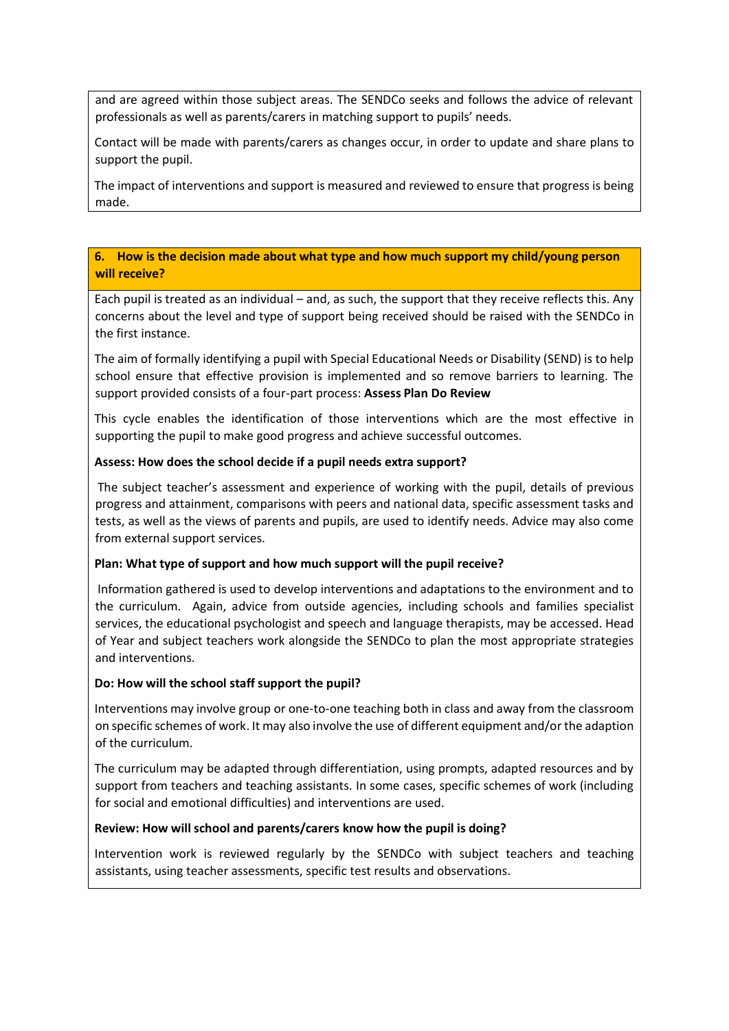and are agreed within those subject areas. The SENDCo seeks and follows the advice of relevant professionals as well as parents/carers in matching support to pupils' needs.

Contact will be made with parents/carers as changes occur, in order to update and share plans to support the pupil.

The impact of interventions and support is measured and reviewed to ensure that progress is being made.

## **6. How is the decision made about what type and how much support my child/young person will receive?**

Each pupil is treated as an individual – and, as such, the support that they receive reflects this. Any concerns about the level and type of support being received should be raised with the SENDCo in the first instance.

The aim of formally identifying a pupil with Special Educational Needs or Disability (SEND) is to help school ensure that effective provision is implemented and so remove barriers to learning. The support provided consists of a four-part process: **Assess Plan Do Review**

This cycle enables the identification of those interventions which are the most effective in supporting the pupil to make good progress and achieve successful outcomes.

## **Assess: How does the school decide if a pupil needs extra support?**

The subject teacher's assessment and experience of working with the pupil, details of previous progress and attainment, comparisons with peers and national data, specific assessment tasks and tests, as well as the views of parents and pupils, are used to identify needs. Advice may also come from external support services.

## **Plan: What type of support and how much support will the pupil receive?**

Information gathered is used to develop interventions and adaptations to the environment and to the curriculum. Again, advice from outside agencies, including schools and families specialist services, the educational psychologist and speech and language therapists, may be accessed. Head of Year and subject teachers work alongside the SENDCo to plan the most appropriate strategies and interventions.

## **Do: How will the school staff support the pupil?**

Interventions may involve group or one-to-one teaching both in class and away from the classroom on specific schemes of work. It may also involve the use of different equipment and/or the adaption of the curriculum.

The curriculum may be adapted through differentiation, using prompts, adapted resources and by support from teachers and teaching assistants. In some cases, specific schemes of work (including for social and emotional difficulties) and interventions are used.

# **Review: How will school and parents/carers know how the pupil is doing?**

Intervention work is reviewed regularly by the SENDCo with subject teachers and teaching assistants, using teacher assessments, specific test results and observations.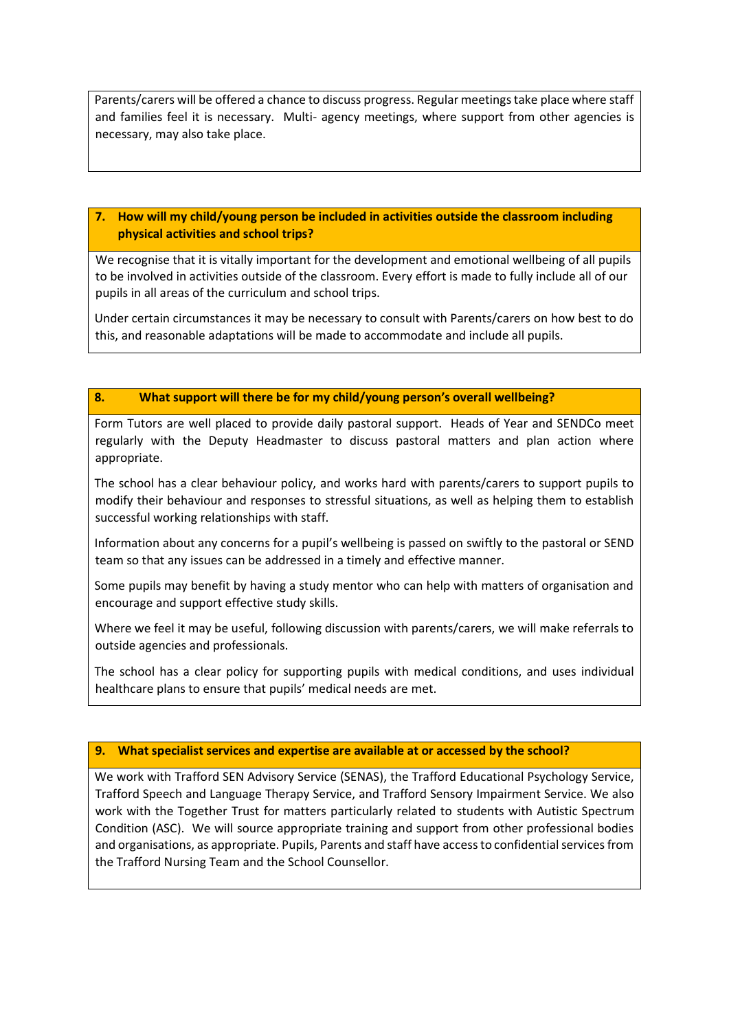Parents/carers will be offered a chance to discuss progress. Regular meetings take place where staff and families feel it is necessary. Multi- agency meetings, where support from other agencies is necessary, may also take place.

# **7. How will my child/young person be included in activities outside the classroom including physical activities and school trips?**

We recognise that it is vitally important for the development and emotional wellbeing of all pupils to be involved in activities outside of the classroom. Every effort is made to fully include all of our pupils in all areas of the curriculum and school trips.

Under certain circumstances it may be necessary to consult with Parents/carers on how best to do this, and reasonable adaptations will be made to accommodate and include all pupils.

## **8. What support will there be for my child/young person's overall wellbeing?**

Form Tutors are well placed to provide daily pastoral support. Heads of Year and SENDCo meet regularly with the Deputy Headmaster to discuss pastoral matters and plan action where appropriate.

The school has a clear behaviour policy, and works hard with parents/carers to support pupils to modify their behaviour and responses to stressful situations, as well as helping them to establish successful working relationships with staff.

Information about any concerns for a pupil's wellbeing is passed on swiftly to the pastoral or SEND team so that any issues can be addressed in a timely and effective manner.

Some pupils may benefit by having a study mentor who can help with matters of organisation and encourage and support effective study skills.

Where we feel it may be useful, following discussion with parents/carers, we will make referrals to outside agencies and professionals.

The school has a clear policy for supporting pupils with medical conditions, and uses individual healthcare plans to ensure that pupils' medical needs are met.

## **9. What specialist services and expertise are available at or accessed by the school?**

We work with Trafford SEN Advisory Service (SENAS), the Trafford Educational Psychology Service, Trafford Speech and Language Therapy Service, and Trafford Sensory Impairment Service. We also work with the Together Trust for matters particularly related to students with Autistic Spectrum Condition (ASC). We will source appropriate training and support from other professional bodies and organisations, as appropriate. Pupils, Parents and staff have access to confidential services from the Trafford Nursing Team and the School Counsellor.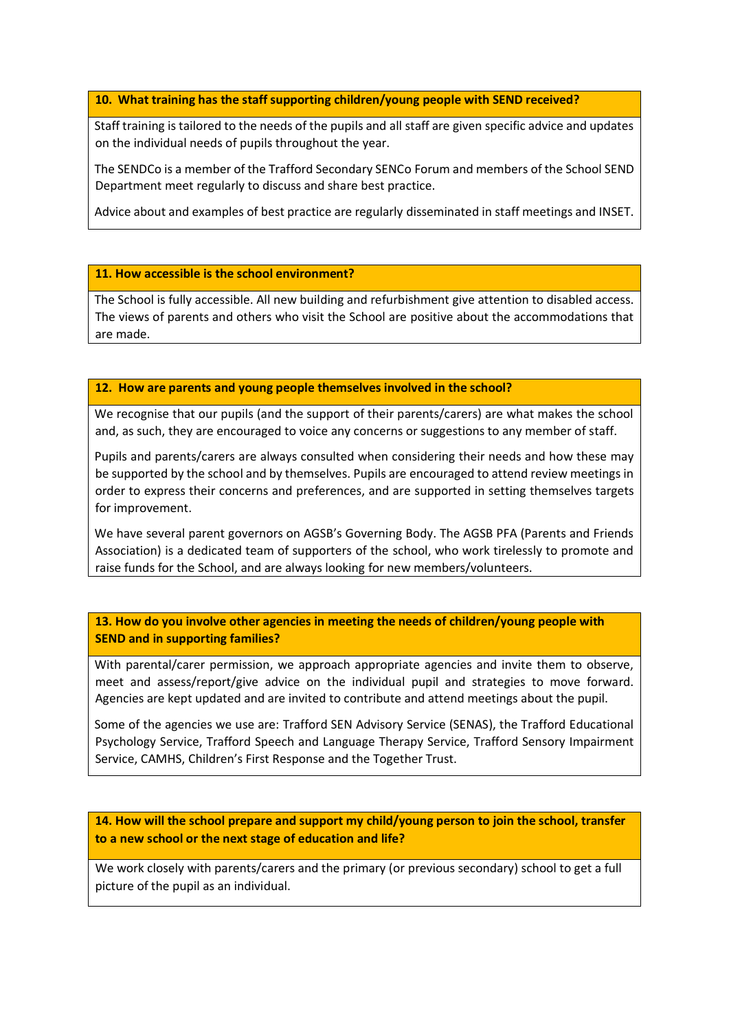## **10. What training has the staff supporting children/young people with SEND received?**

Staff training is tailored to the needs of the pupils and all staff are given specific advice and updates on the individual needs of pupils throughout the year.

The SENDCo is a member of the Trafford Secondary SENCo Forum and members of the School SEND Department meet regularly to discuss and share best practice.

Advice about and examples of best practice are regularly disseminated in staff meetings and INSET.

## **11. How accessible is the school environment?**

The School is fully accessible. All new building and refurbishment give attention to disabled access. The views of parents and others who visit the School are positive about the accommodations that are made.

#### **11. 12. How are parents and young people themselves involved in the school?**

We recognise that our pupils (and the support of their parents/carers) are what makes the school and, as such, they are encouraged to voice any concerns or suggestions to any member of staff.

Pupils and parents/carers are always consulted when considering their needs and how these may be supported by the school and by themselves. Pupils are encouraged to attend review meetings in order to express their concerns and preferences, and are supported in setting themselves targets for improvement.

We have several parent governors on AGSB's Governing Body. The AGSB PFA (Parents and Friends Association) is a dedicated team of supporters of the school, who work tirelessly to promote and raise funds for the School, and are always looking for new members/volunteers.

**12. 13. How do you involve other agencies in meeting the needs of children/young people with SEND and in supporting families?** 

With parental/carer permission, we approach appropriate agencies and invite them to observe, meet and assess/report/give advice on the individual pupil and strategies to move forward. Agencies are kept updated and are invited to contribute and attend meetings about the pupil.

Some of the agencies we use are: Trafford SEN Advisory Service (SENAS), the Trafford Educational Psychology Service, Trafford Speech and Language Therapy Service, Trafford Sensory Impairment Service, CAMHS, Children's First Response and the Together Trust.

**14. How will the school prepare and support my child/young person to join the school, transfer to a new school or the next stage of education and life?**

We work closely with parents/carers and the primary (or previous secondary) school to get a full picture of the pupil as an individual.